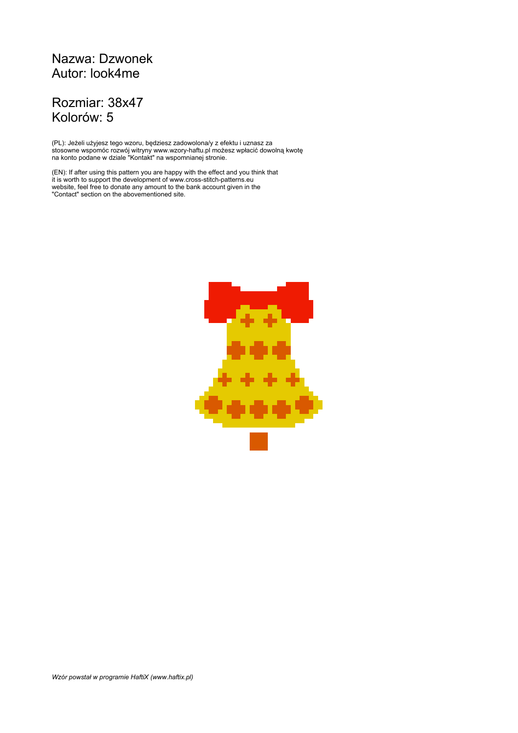## Nazwa: Dzwonek Autor: look4me

## Rozmiar: 38x47 Kolorów: 5

(PL): Jeżeli użyjesz tego wzoru, będziesz zadowolona/y z efektu i uznasz za stosowne wspomóc rozwój witryny www.wzory-haftu.pl możesz wpłacić dowolną kwotę na konto podane w dziale "Kontakt" na wspomnianej stronie.

(EN): If after using this pattern you are happy with the effect and you think that it is worth to support the development of www.cross-stitch-patterns.eu website, feel free to donate any amount to the bank account given in the "Contact" section on the abovementioned site.

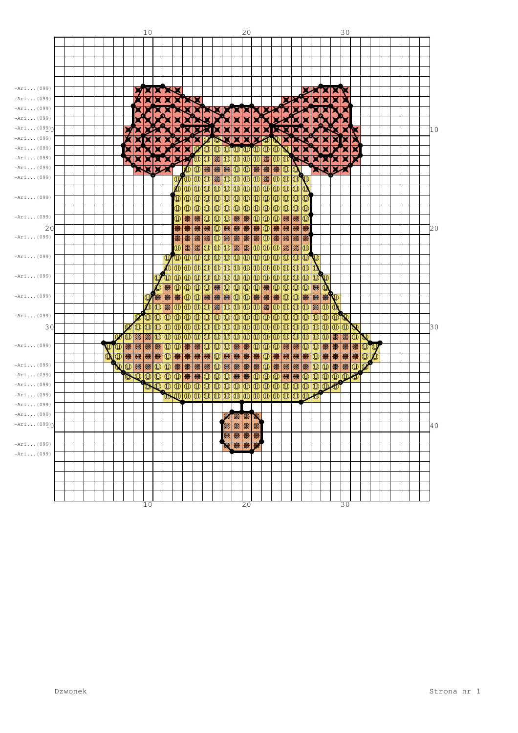